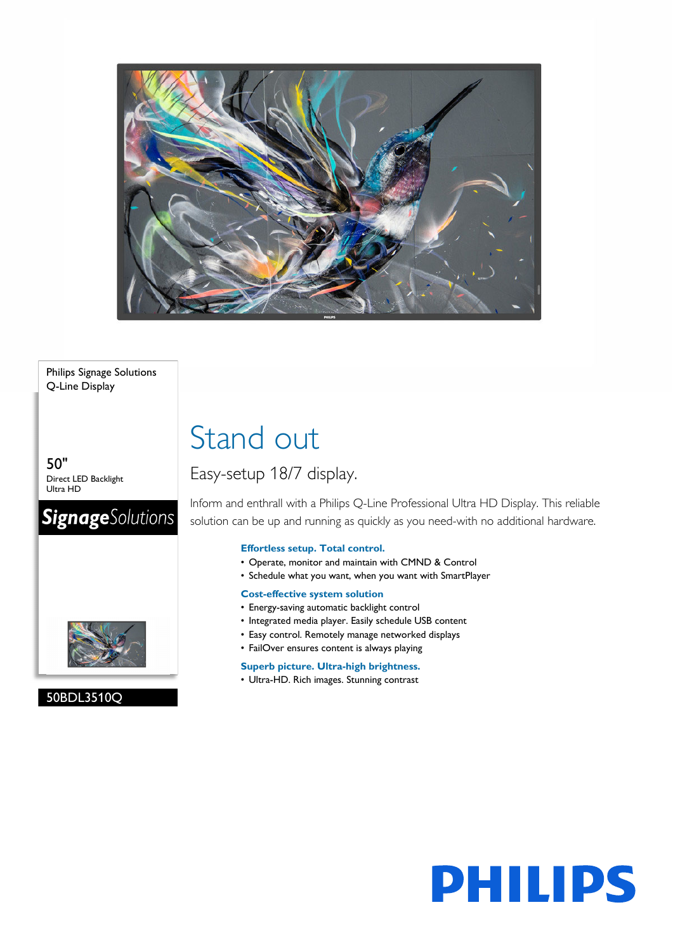

## Philips Signage Solutions Q-Line Display

50" Direct LED Backlight Ultra HD

# **SignageSolutions**



# 50BDL3510Q

# Stand out

# Easy-setup 18/7 display.

Inform and enthrall with a Philips Q-Line Professional Ultra HD Display. This reliable solution can be up and running as quickly as you need-with no additional hardware.

# **Effortless setup. Total control.**

- Operate, monitor and maintain with CMND & Control
- Schedule what you want, when you want with SmartPlayer

# **Cost-effective system solution**

- Energy-saving automatic backlight control
- Integrated media player. Easily schedule USB content
- Easy control. Remotely manage networked displays
- FailOver ensures content is always playing

# **Superb picture. Ultra-high brightness.**

• Ultra-HD. Rich images. Stunning contrast

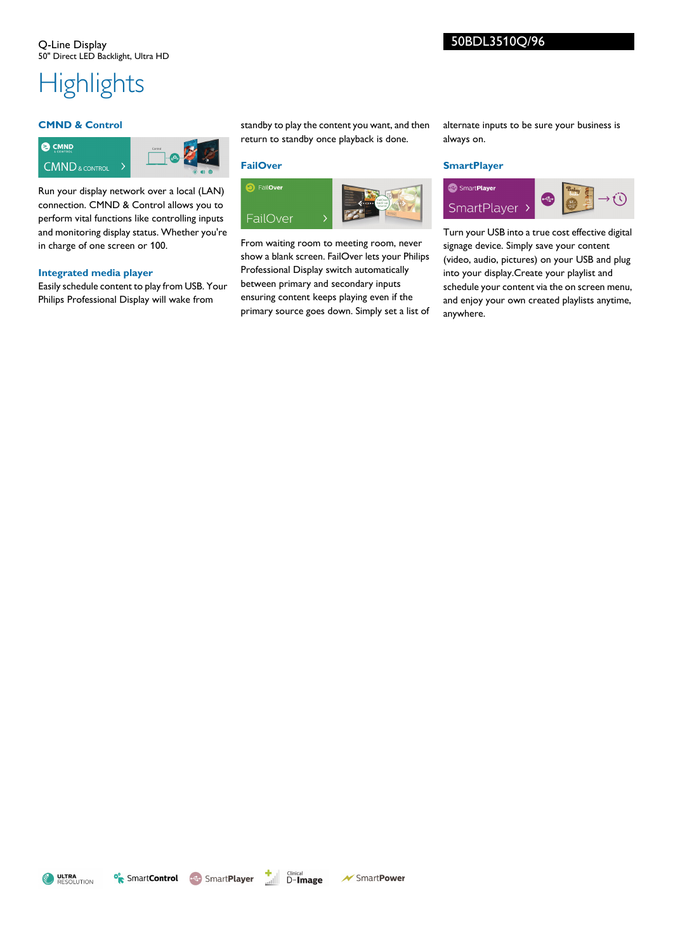# **Highlights**

### **CMND & Control**



Run your display network over a local (LAN) connection. CMND & Control allows you to perform vital functions like controlling inputs and monitoring display status. Whether you're in charge of one screen or 100.

#### **Integrated media player**

Easily schedule content to play from USB. Your Philips Professional Display will wake from

standby to play the content you want, and then return to standby once playback is done.

### **FailOver**



From waiting room to meeting room, never show a blank screen. FailOver lets your Philips Professional Display switch automatically between primary and secondary inputs ensuring content keeps playing even if the primary source goes down. Simply set a list of alternate inputs to be sure your business is always on.

### **SmartPlayer**



Turn your USB into a true cost effective digital signage device. Simply save your content (video, audio, pictures) on your USB and plug into your display.Create your playlist and schedule your content via the on screen menu, and enjoy your own created playlists anytime, anywhere.